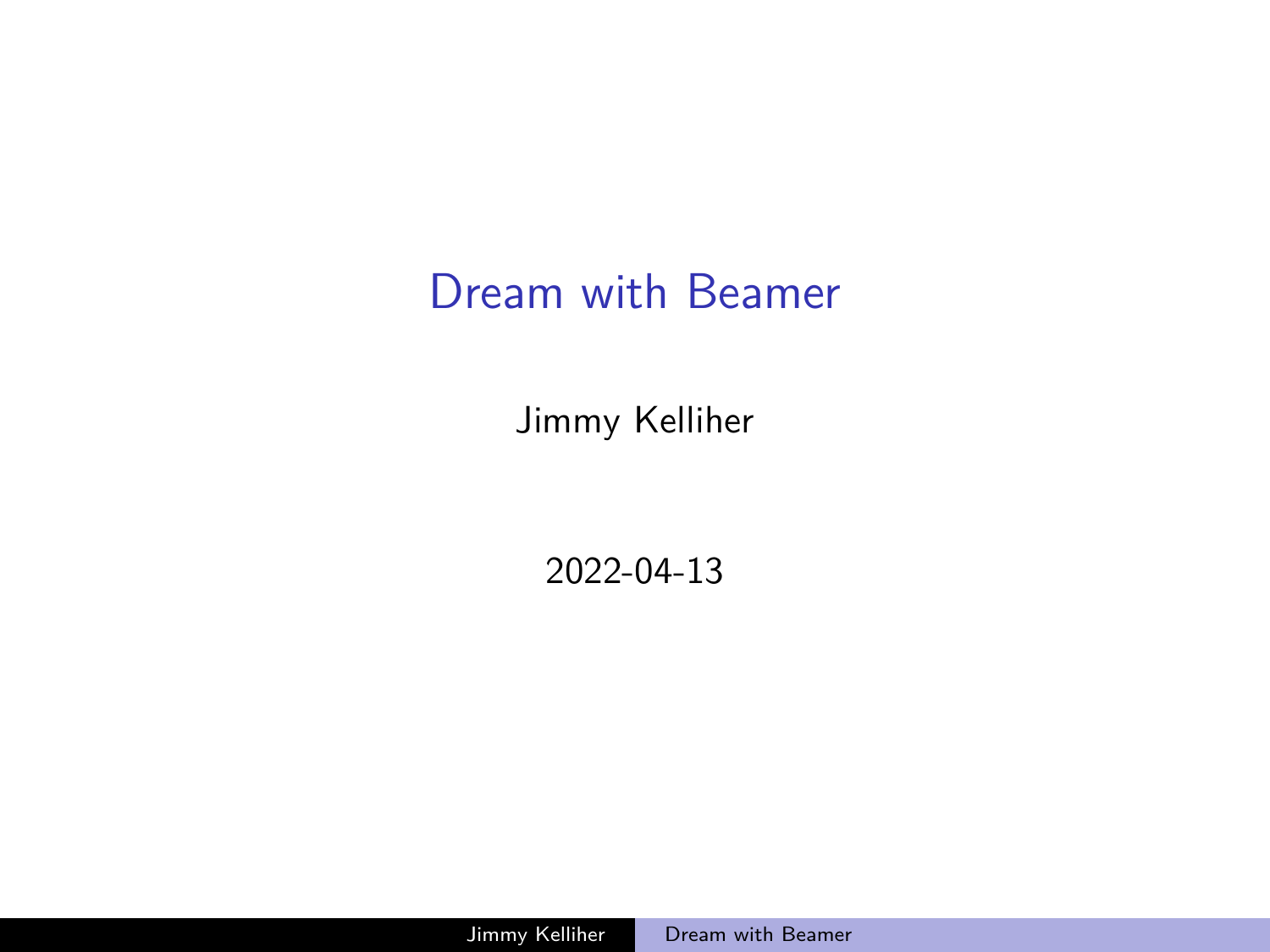# <span id="page-0-0"></span>Dream with Beamer

Jimmy Kelliher

2022-04-13

Jimmy Kelliher [Dream with Beamer](#page-6-0)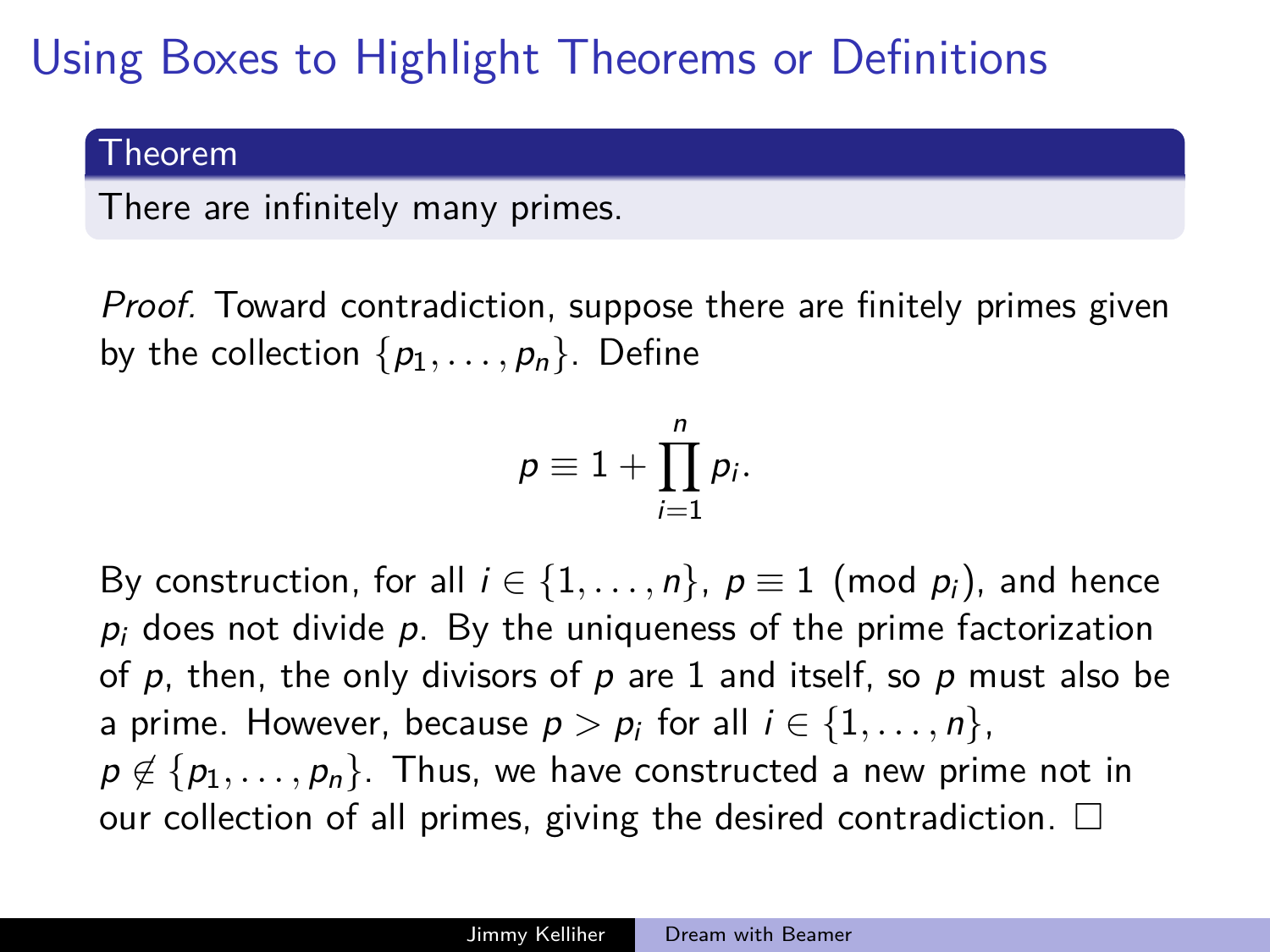# Using Boxes to Highlight Theorems or Definitions

#### Theorem

There are infinitely many primes.

Proof. Toward contradiction, suppose there are finitely primes given by the collection  $\{p_1, \ldots, p_n\}$ . Define

$$
p\equiv 1+\prod_{i=1}^n p_i.
$$

By construction, for all  $i \in \{1, \ldots, n\}$ ,  $p \equiv 1 \pmod{p_i}$ , and hence  $p_i$  does not divide p. By the uniqueness of the prime factorization of  $p$ , then, the only divisors of  $p$  are 1 and itself, so  $p$  must also be a prime. However, because  $p > p_i$  for all  $i \in \{1, \ldots, n\}$ , p ∉ {p<sub>1</sub>, ..., p<sub>n</sub>}. Thus, we have constructed a new prime not in our collection of all primes, giving the desired contradiction.  $\square$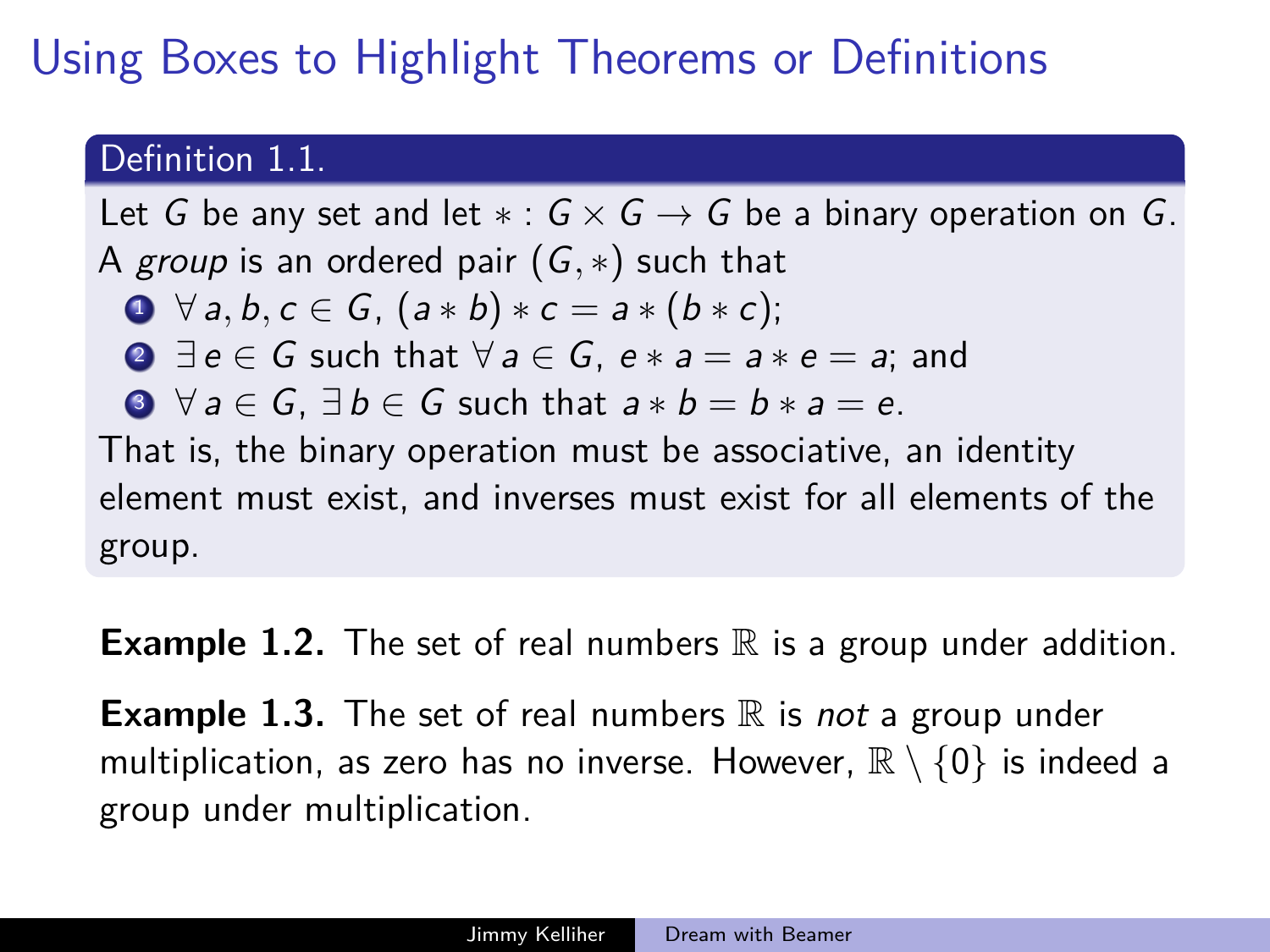# Using Boxes to Highlight Theorems or Definitions

### Definition 1.1.

Let G be any set and let  $* : G \times G \rightarrow G$  be a binary operation on G. A group is an ordered pair (G*,* ∗) such that

• 
$$
\forall a, b, c \in G, (a * b) * c = a * (b * c);
$$

**2** 
$$
\exists e \in G
$$
 such that  $\forall a \in G$ ,  $e * a = a * e = a$ ; and

$$
0 \ \forall a \in G, \exists b \in G \text{ such that } a * b = b * a = e.
$$

That is, the binary operation must be associative, an identity element must exist, and inverses must exist for all elements of the group.

**Example 1.2.** The set of real numbers  $\mathbb R$  is a group under addition.

**Example 1.3.** The set of real numbers  $\mathbb R$  is not a group under multiplication, as zero has no inverse. However,  $\mathbb{R} \setminus \{0\}$  is indeed a group under multiplication.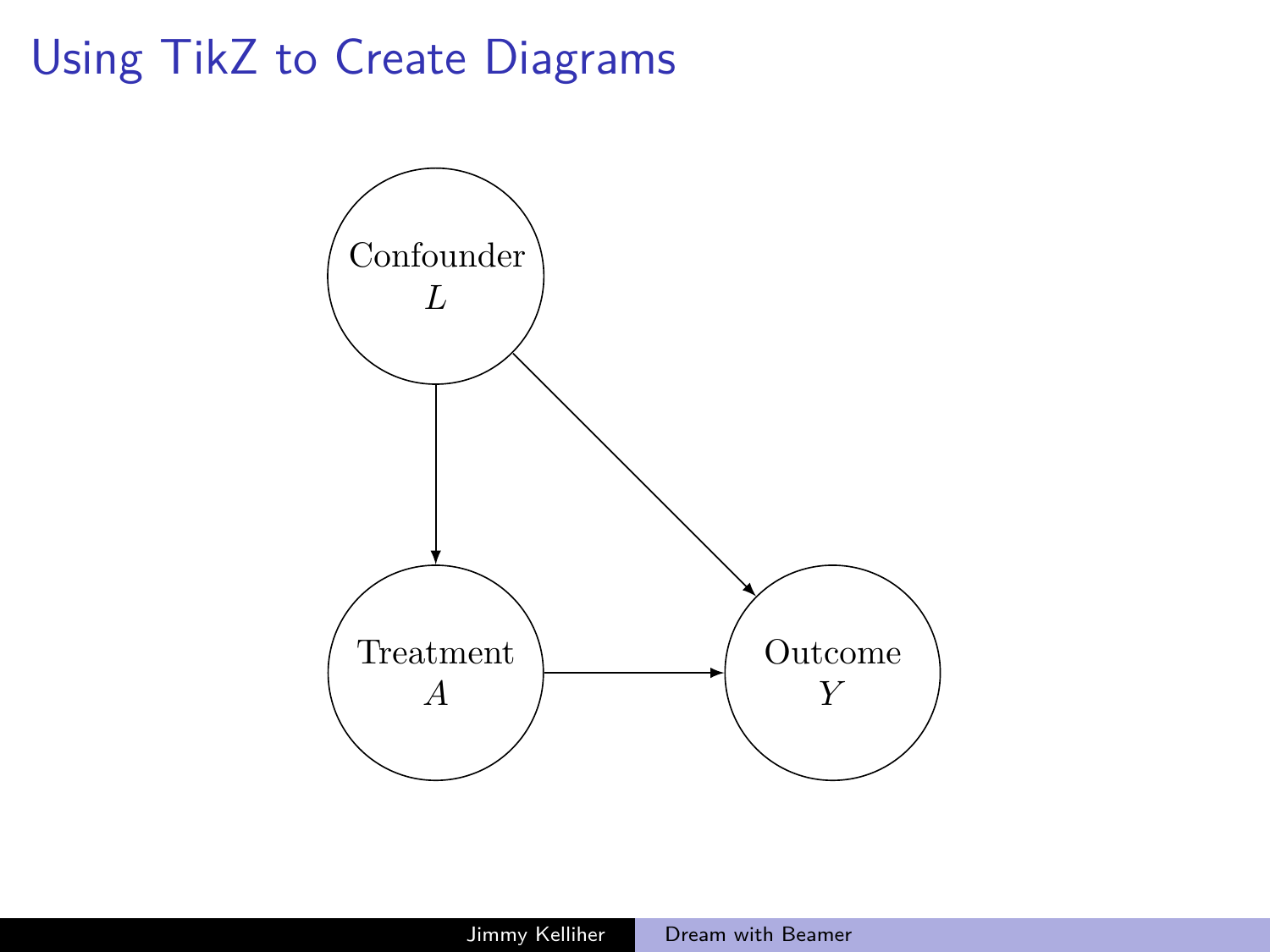# Using TikZ to Create Diagrams

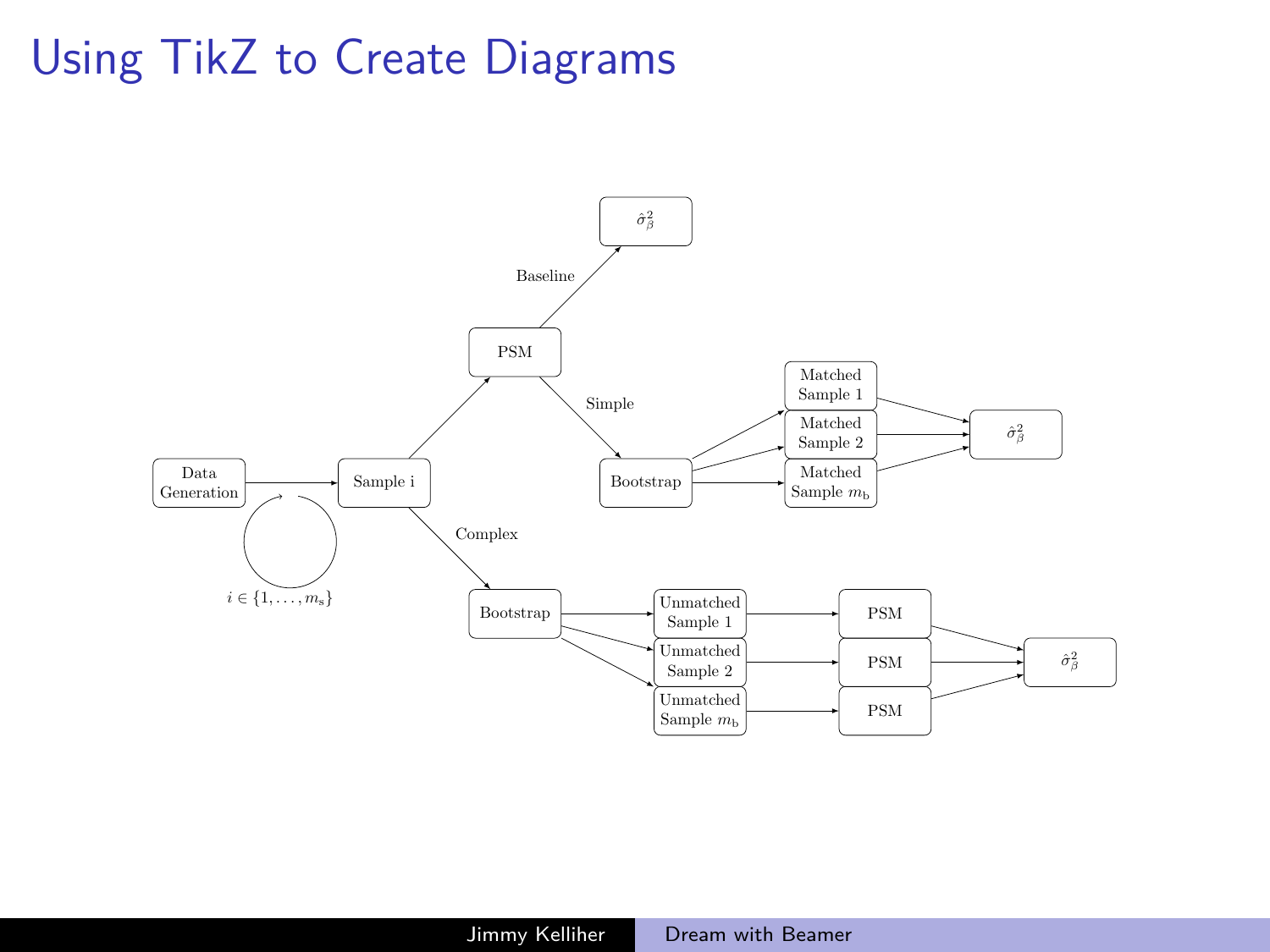# Using TikZ to Create Diagrams

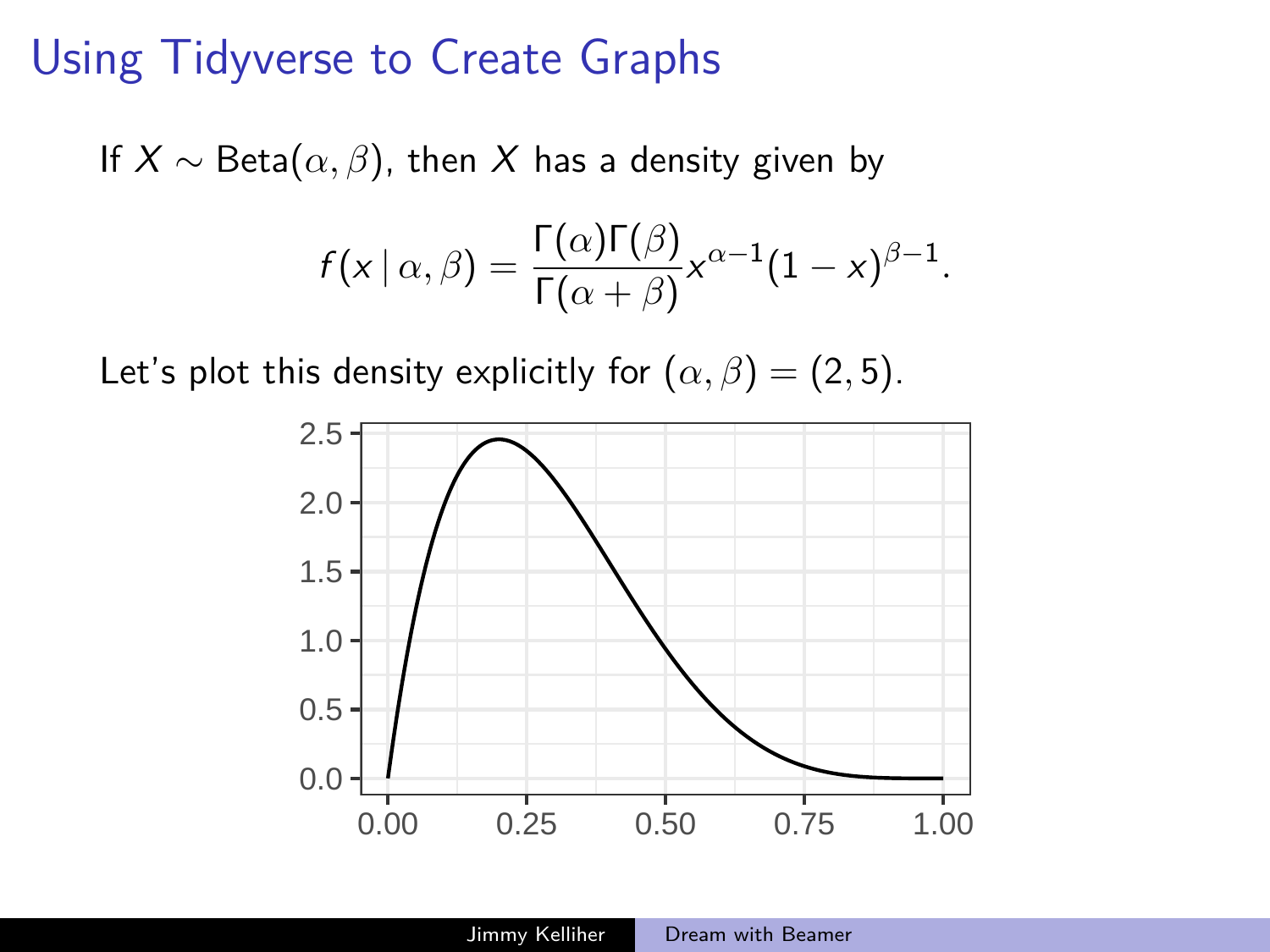### Using Tidyverse to Create Graphs

If  $X \sim \text{Beta}(\alpha, \beta)$ , then X has a density given by

$$
f(x | \alpha, \beta) = \frac{\Gamma(\alpha)\Gamma(\beta)}{\Gamma(\alpha + \beta)} x^{\alpha - 1} (1 - x)^{\beta - 1}.
$$

Let's plot this density explicitly for  $(\alpha, \beta) = (2, 5)$ .